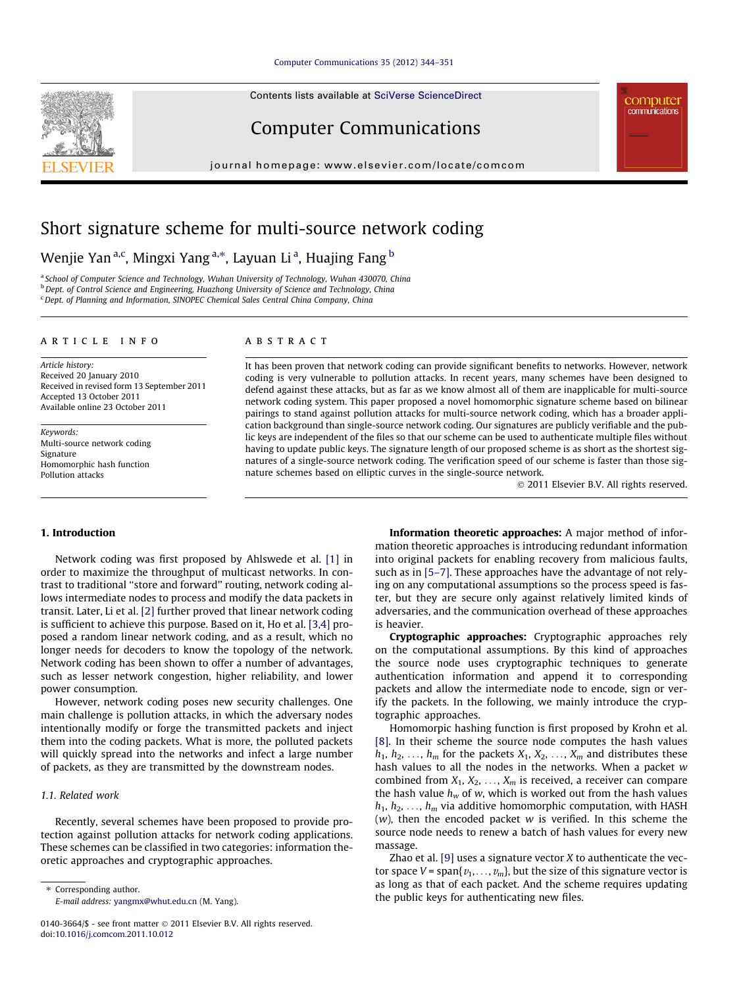## [Computer Communications 35 \(2012\) 344–351](http://dx.doi.org/10.1016/j.comcom.2011.10.012)

Contents lists available at [SciVerse ScienceDirect](http://www.sciencedirect.com/science/journal/01403664)

# Computer Communications

journal homepage: [www.elsevier.com/locate/comcom](http://www.elsevier.com/locate/comcom)

# Short signature scheme for multi-source network coding

# Wenjie Yan <sup>a,c</sup>, Mingxi Yang <sup>a,</sup>\*, Layuan Li <sup>a</sup>, Huajing Fang <sup>b</sup>

a School of Computer Science and Technology, Wuhan University of Technology, Wuhan 430070, China b Dept. of Control Science and Engineering, Huazhong University of Science and Technology, China <sup>c</sup> Dept. of Planning and Information, SINOPEC Chemical Sales Central China Company, China

#### article info

Article history: Received 20 January 2010 Received in revised form 13 September 2011 Accepted 13 October 2011 Available online 23 October 2011

Keywords: Multi-source network coding Signature Homomorphic hash function Pollution attacks

## ABSTRACT

It has been proven that network coding can provide significant benefits to networks. However, network coding is very vulnerable to pollution attacks. In recent years, many schemes have been designed to defend against these attacks, but as far as we know almost all of them are inapplicable for multi-source network coding system. This paper proposed a novel homomorphic signature scheme based on bilinear pairings to stand against pollution attacks for multi-source network coding, which has a broader application background than single-source network coding. Our signatures are publicly verifiable and the public keys are independent of the files so that our scheme can be used to authenticate multiple files without having to update public keys. The signature length of our proposed scheme is as short as the shortest signatures of a single-source network coding. The verification speed of our scheme is faster than those signature schemes based on elliptic curves in the single-source network.

- 2011 Elsevier B.V. All rights reserved.

computer communications

## 1. Introduction

Network coding was first proposed by Ahlswede et al. [\[1\]](#page--1-0) in order to maximize the throughput of multicast networks. In contrast to traditional ''store and forward'' routing, network coding allows intermediate nodes to process and modify the data packets in transit. Later, Li et al. [\[2\]](#page--1-0) further proved that linear network coding is sufficient to achieve this purpose. Based on it, Ho et al. [\[3,4\]](#page--1-0) proposed a random linear network coding, and as a result, which no longer needs for decoders to know the topology of the network. Network coding has been shown to offer a number of advantages, such as lesser network congestion, higher reliability, and lower power consumption.

However, network coding poses new security challenges. One main challenge is pollution attacks, in which the adversary nodes intentionally modify or forge the transmitted packets and inject them into the coding packets. What is more, the polluted packets will quickly spread into the networks and infect a large number of packets, as they are transmitted by the downstream nodes.

# 1.1. Related work

Recently, several schemes have been proposed to provide protection against pollution attacks for network coding applications. These schemes can be classified in two categories: information theoretic approaches and cryptographic approaches.

⇑ Corresponding author. E-mail address: [yangmx@whut.edu.cn](mailto:yangmx@whut.edu.cn) (M. Yang).

Information theoretic approaches: A major method of information theoretic approaches is introducing redundant information into original packets for enabling recovery from malicious faults, such as in [\[5–7\]](#page--1-0). These approaches have the advantage of not relying on any computational assumptions so the process speed is faster, but they are secure only against relatively limited kinds of adversaries, and the communication overhead of these approaches is heavier.

Cryptographic approaches: Cryptographic approaches rely on the computational assumptions. By this kind of approaches the source node uses cryptographic techniques to generate authentication information and append it to corresponding packets and allow the intermediate node to encode, sign or verify the packets. In the following, we mainly introduce the cryptographic approaches.

Homomorpic hashing function is first proposed by Krohn et al. [\[8\]](#page--1-0). In their scheme the source node computes the hash values  $h_1, h_2, \ldots, h_m$  for the packets  $X_1, X_2, \ldots, X_m$  and distributes these hash values to all the nodes in the networks. When a packet w combined from  $X_1, X_2, \ldots, X_m$  is received, a receiver can compare the hash value  $h_w$  of w, which is worked out from the hash values  $h_1, h_2, \ldots, h_m$  via additive homomorphic computation, with HASH  $(w)$ , then the encoded packet w is verified. In this scheme the source node needs to renew a batch of hash values for every new massage.

Zhao et al. [\[9\]](#page--1-0) uses a signature vector X to authenticate the vector space  $V = \text{span}\{v_1, \ldots, v_m\}$ , but the size of this signature vector is as long as that of each packet. And the scheme requires updating the public keys for authenticating new files.



<sup>0140-3664/\$ -</sup> see front matter © 2011 Elsevier B.V. All rights reserved. doi:[10.1016/j.comcom.2011.10.012](http://dx.doi.org/10.1016/j.comcom.2011.10.012)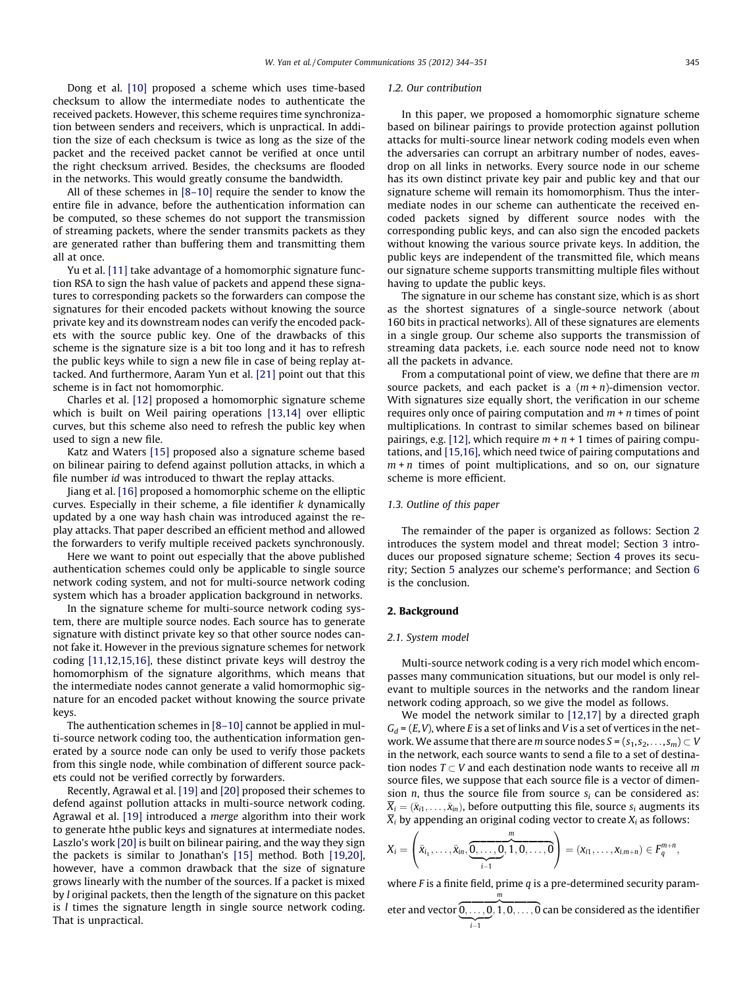Dong et al. [\[10\]](#page--1-0) proposed a scheme which uses time-based checksum to allow the intermediate nodes to authenticate the received packets. However, this scheme requires time synchronization between senders and receivers, which is unpractical. In addition the size of each checksum is twice as long as the size of the packet and the received packet cannot be verified at once until the right checksum arrived. Besides, the checksums are flooded in the networks. This would greatly consume the bandwidth.

All of these schemes in [\[8–10\]](#page--1-0) require the sender to know the entire file in advance, before the authentication information can be computed, so these schemes do not support the transmission of streaming packets, where the sender transmits packets as they are generated rather than buffering them and transmitting them all at once.

Yu et al. [\[11\]](#page--1-0) take advantage of a homomorphic signature function RSA to sign the hash value of packets and append these signatures to corresponding packets so the forwarders can compose the signatures for their encoded packets without knowing the source private key and its downstream nodes can verify the encoded packets with the source public key. One of the drawbacks of this scheme is the signature size is a bit too long and it has to refresh the public keys while to sign a new file in case of being replay attacked. And furthermore, Aaram Yun et al. [\[21\]](#page--1-0) point out that this scheme is in fact not homomorphic.

Charles et al. [\[12\]](#page--1-0) proposed a homomorphic signature scheme which is built on Weil pairing operations [\[13,14\]](#page--1-0) over elliptic curves, but this scheme also need to refresh the public key when used to sign a new file.

Katz and Waters [\[15\]](#page--1-0) proposed also a signature scheme based on bilinear pairing to defend against pollution attacks, in which a file number id was introduced to thwart the replay attacks.

Jiang et al. [\[16\]](#page--1-0) proposed a homomorphic scheme on the elliptic curves. Especially in their scheme, a file identifier  $k$  dynamically updated by a one way hash chain was introduced against the replay attacks. That paper described an efficient method and allowed the forwarders to verify multiple received packets synchronously.

Here we want to point out especially that the above published authentication schemes could only be applicable to single source network coding system, and not for multi-source network coding system which has a broader application background in networks.

In the signature scheme for multi-source network coding system, there are multiple source nodes. Each source has to generate signature with distinct private key so that other source nodes cannot fake it. However in the previous signature schemes for network coding [\[11,12,15,16\],](#page--1-0) these distinct private keys will destroy the homomorphism of the signature algorithms, which means that the intermediate nodes cannot generate a valid homormophic signature for an encoded packet without knowing the source private keys.

The authentication schemes in [\[8–10\]](#page--1-0) cannot be applied in multi-source network coding too, the authentication information generated by a source node can only be used to verify those packets from this single node, while combination of different source packets could not be verified correctly by forwarders.

Recently, Agrawal et al. [\[19\]](#page--1-0) and [\[20\]](#page--1-0) proposed their schemes to defend against pollution attacks in multi-source network coding. Agrawal et al. [\[19\]](#page--1-0) introduced a merge algorithm into their work to generate hthe public keys and signatures at intermediate nodes. Laszlo's work [\[20\]](#page--1-0) is built on bilinear pairing, and the way they sign the packets is similar to Jonathan's [\[15\]](#page--1-0) method. Both [\[19,20\],](#page--1-0) however, have a common drawback that the size of signature grows linearly with the number of the sources. If a packet is mixed by l original packets, then the length of the signature on this packet is l times the signature length in single source network coding. That is unpractical.

#### 1.2. Our contribution

In this paper, we proposed a homomorphic signature scheme based on bilinear pairings to provide protection against pollution attacks for multi-source linear network coding models even when the adversaries can corrupt an arbitrary number of nodes, eavesdrop on all links in networks. Every source node in our scheme has its own distinct private key pair and public key and that our signature scheme will remain its homomorphism. Thus the intermediate nodes in our scheme can authenticate the received encoded packets signed by different source nodes with the corresponding public keys, and can also sign the encoded packets without knowing the various source private keys. In addition, the public keys are independent of the transmitted file, which means our signature scheme supports transmitting multiple files without having to update the public keys.

The signature in our scheme has constant size, which is as short as the shortest signatures of a single-source network (about 160 bits in practical networks). All of these signatures are elements in a single group. Our scheme also supports the transmission of streaming data packets, i.e. each source node need not to know all the packets in advance.

From a computational point of view, we define that there are m source packets, and each packet is a  $(m + n)$ -dimension vector. With signatures size equally short, the verification in our scheme requires only once of pairing computation and  $m + n$  times of point multiplications. In contrast to similar schemes based on bilinear pairings, e.g. [\[12\]](#page--1-0), which require  $m + n + 1$  times of pairing computations, and [\[15,16\]](#page--1-0), which need twice of pairing computations and  $m + n$  times of point multiplications, and so on, our signature scheme is more efficient.

### 1.3. Outline of this paper

The remainder of the paper is organized as follows: Section 2 introduces the system model and threat model; Section [3](#page--1-0) introduces our proposed signature scheme; Section [4](#page--1-0) proves its security; Section [5](#page--1-0) analyzes our scheme's performance; and Section [6](#page--1-0) is the conclusion.

#### 2. Background

#### 2.1. System model

Multi-source network coding is a very rich model which encompasses many communication situations, but our model is only relevant to multiple sources in the networks and the random linear network coding approach, so we give the model as follows.

We model the network similar to [\[12,17\]](#page--1-0) by a directed graph  $G_d = (E, V)$ , where E is a set of links and V is a set of vertices in the network. We assume that there are  $m$  source nodes S =  $(s_1, s_2, \ldots, s_m) \subset V$ in the network, each source wants to send a file to a set of destination nodes  $T \subset V$  and each destination node wants to receive all m source files, we suppose that each source file is a vector of dimension *n*, thus the source file from source  $s_i$  can be considered as:  $\overline{X}_i = (\bar{x}_{i1}, \ldots, \bar{x}_{in}),$  before outputting this file, source  $s_i$  augments its  $\overline{X}_i$  by appending an original coding vector to create  $X_i$  as follows:

$$
X_i=\left(\bar x_{i_1},\ldots,\bar x_{in},\underbrace{\overbrace{0,\ldots,0}^{m},1,0,\ldots,0}_{i-1}\right)=(x_{i1},\ldots,x_{i,m+n})\in F_q^{m+n},
$$

where  $F$  is a finite field, prime  $q$  is a pre-determined security param-

eter and vector  $\underbrace{0,\ldots,0}_{i-1},\overbrace{1,0,\ldots,0}^{m}$  can be considered as the identifier